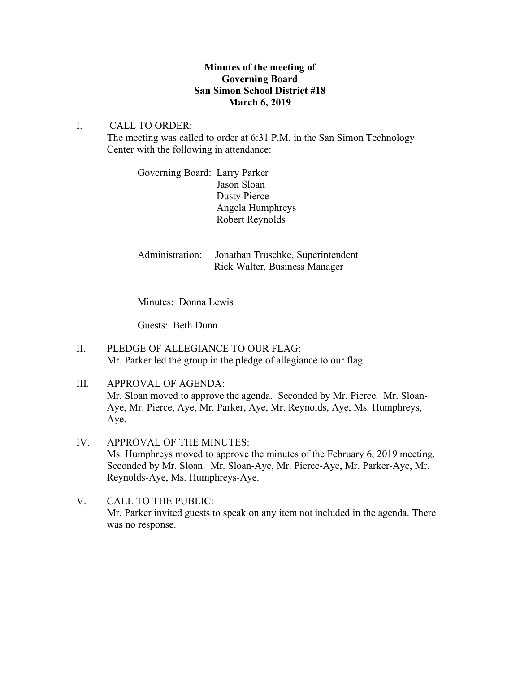# **Minutes of the meeting of Governing Board San Simon School District #18 March 6, 2019**

# I. CALL TO ORDER:

The meeting was called to order at 6:31 P.M. in the San Simon Technology Center with the following in attendance:

> Governing Board: Larry Parker Jason Sloan Dusty Pierce Angela Humphreys Robert Reynolds

Administration: Jonathan Truschke, Superintendent Rick Walter, Business Manager

Minutes: Donna Lewis

Guests: Beth Dunn

- II. PLEDGE OF ALLEGIANCE TO OUR FLAG: Mr. Parker led the group in the pledge of allegiance to our flag.
- III. APPROVAL OF AGENDA: Mr. Sloan moved to approve the agenda. Seconded by Mr. Pierce. Mr. Sloan-Aye, Mr. Pierce, Aye, Mr. Parker, Aye, Mr. Reynolds, Aye, Ms. Humphreys, Aye.
- IV. APPROVAL OF THE MINUTES: Ms. Humphreys moved to approve the minutes of the February 6, 2019 meeting. Seconded by Mr. Sloan. Mr. Sloan-Aye, Mr. Pierce-Aye, Mr. Parker-Aye, Mr. Reynolds-Aye, Ms. Humphreys-Aye.
- V. CALL TO THE PUBLIC: Mr. Parker invited guests to speak on any item not included in the agenda. There was no response.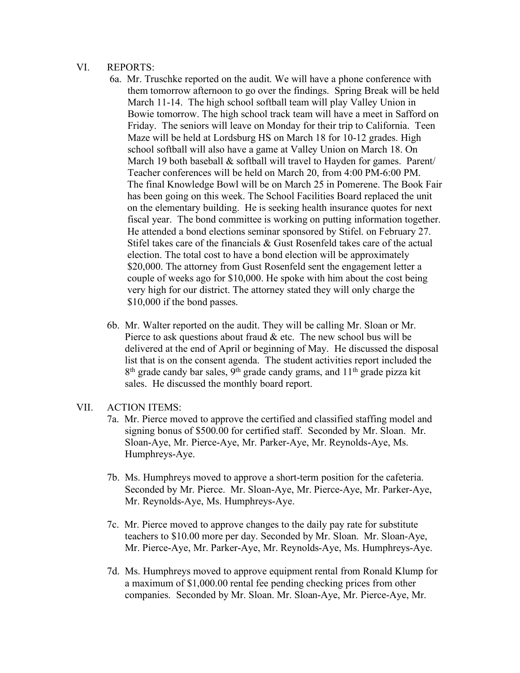### VI. REPORTS:

- 6a. Mr. Truschke reported on the audit. We will have a phone conference with them tomorrow afternoon to go over the findings. Spring Break will be held March 11-14. The high school softball team will play Valley Union in Bowie tomorrow. The high school track team will have a meet in Safford on Friday. The seniors will leave on Monday for their trip to California. Teen Maze will be held at Lordsburg HS on March 18 for 10-12 grades. High school softball will also have a game at Valley Union on March 18. On March 19 both baseball  $&$  softball will travel to Hayden for games. Parent/ Teacher conferences will be held on March 20, from 4:00 PM-6:00 PM. The final Knowledge Bowl will be on March 25 in Pomerene. The Book Fair has been going on this week. The School Facilities Board replaced the unit on the elementary building. He is seeking health insurance quotes for next fiscal year. The bond committee is working on putting information together. He attended a bond elections seminar sponsored by Stifel. on February 27. Stifel takes care of the financials & Gust Rosenfeld takes care of the actual election. The total cost to have a bond election will be approximately \$20,000. The attorney from Gust Rosenfeld sent the engagement letter a couple of weeks ago for \$10,000. He spoke with him about the cost being very high for our district. The attorney stated they will only charge the \$10,000 if the bond passes.
- 6b. Mr. Walter reported on the audit. They will be calling Mr. Sloan or Mr. Pierce to ask questions about fraud  $\&$  etc. The new school bus will be delivered at the end of April or beginning of May. He discussed the disposal list that is on the consent agenda. The student activities report included the  $8<sup>th</sup>$  grade candy bar sales,  $9<sup>th</sup>$  grade candy grams, and 11<sup>th</sup> grade pizza kit sales. He discussed the monthly board report.

### VII. ACTION ITEMS:

- 7a. Mr. Pierce moved to approve the certified and classified staffing model and signing bonus of \$500.00 for certified staff. Seconded by Mr. Sloan. Mr. Sloan-Aye, Mr. Pierce-Aye, Mr. Parker-Aye, Mr. Reynolds-Aye, Ms. Humphreys-Aye.
- 7b. Ms. Humphreys moved to approve a short-term position for the cafeteria. Seconded by Mr. Pierce. Mr. Sloan-Aye, Mr. Pierce-Aye, Mr. Parker-Aye, Mr. Reynolds-Aye, Ms. Humphreys-Aye.
- 7c. Mr. Pierce moved to approve changes to the daily pay rate for substitute teachers to \$10.00 more per day. Seconded by Mr. Sloan. Mr. Sloan-Aye, Mr. Pierce-Aye, Mr. Parker-Aye, Mr. Reynolds-Aye, Ms. Humphreys-Aye.
- 7d. Ms. Humphreys moved to approve equipment rental from Ronald Klump for a maximum of \$1,000.00 rental fee pending checking prices from other companies. Seconded by Mr. Sloan. Mr. Sloan-Aye, Mr. Pierce-Aye, Mr.